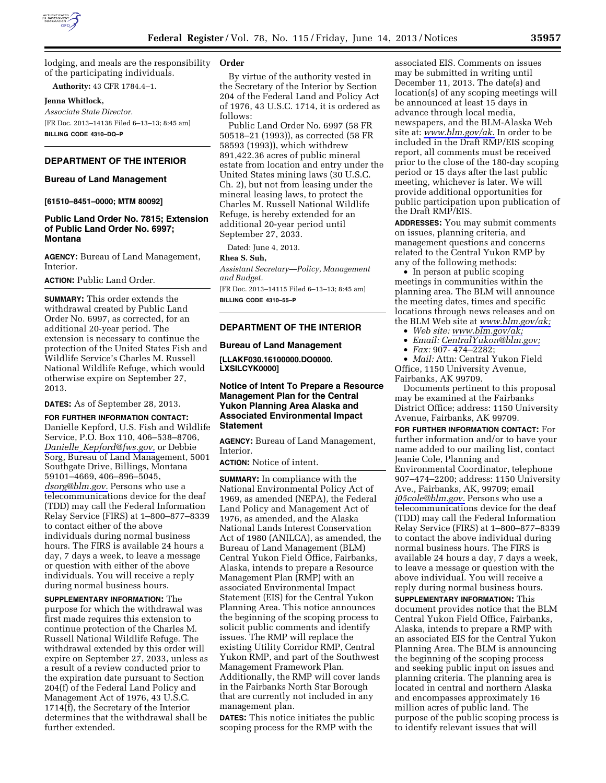

lodging, and meals are the responsibility **Order**  of the participating individuals.

**Authority:** 43 CFR 1784.4–1.

# **Jenna Whitlock,**

*Associate State Director.*  [FR Doc. 2013–14138 Filed 6–13–13; 8:45 am] **BILLING CODE 4310–DQ–P** 

# **DEPARTMENT OF THE INTERIOR**

# **Bureau of Land Management**

**[61510–8451–0000; MTM 80092]** 

# **Public Land Order No. 7815; Extension of Public Land Order No. 6997; Montana**

**AGENCY:** Bureau of Land Management, Interior.

### **ACTION:** Public Land Order.

**SUMMARY:** This order extends the withdrawal created by Public Land Order No. 6997, as corrected, for an additional 20-year period. The extension is necessary to continue the protection of the United States Fish and Wildlife Service's Charles M. Russell National Wildlife Refuge, which would otherwise expire on September 27, 2013.

**DATES:** As of September 28, 2013.

**FOR FURTHER INFORMATION CONTACT:**  Danielle Kepford, U.S. Fish and Wildlife Service, P.O. Box 110, 406–538–8706, *Danielle*\_*[Kepford@fws.gov,](mailto:Danielle_Kepford@fws.gov)* or Debbie Sorg, Bureau of Land Management, 5001 Southgate Drive, Billings, Montana 59101–4669, 406–896–5045, *[dsorg@blm.gov.](mailto:dsorg@blm.gov)* Persons who use a telecommunications device for the deaf (TDD) may call the Federal Information Relay Service (FIRS) at 1–800–877–8339 to contact either of the above individuals during normal business hours. The FIRS is available 24 hours a day, 7 days a week, to leave a message or question with either of the above individuals. You will receive a reply during normal business hours.

**SUPPLEMENTARY INFORMATION:** The purpose for which the withdrawal was first made requires this extension to continue protection of the Charles M. Russell National Wildlife Refuge. The withdrawal extended by this order will expire on September 27, 2033, unless as a result of a review conducted prior to the expiration date pursuant to Section 204(f) of the Federal Land Policy and Management Act of 1976, 43 U.S.C. 1714(f), the Secretary of the Interior determines that the withdrawal shall be further extended.

By virtue of the authority vested in the Secretary of the Interior by Section 204 of the Federal Land and Policy Act of 1976, 43 U.S.C. 1714, it is ordered as follows:

Public Land Order No. 6997 (58 FR 50518–21 (1993)), as corrected (58 FR 58593 (1993)), which withdrew 891,422.36 acres of public mineral estate from location and entry under the United States mining laws (30 U.S.C. Ch. 2), but not from leasing under the mineral leasing laws, to protect the Charles M. Russell National Wildlife Refuge, is hereby extended for an additional 20-year period until September 27, 2033.

Dated: June 4, 2013.

#### **Rhea S. Suh,**

*Assistant Secretary—Policy, Management and Budget.* 

[FR Doc. 2013–14115 Filed 6–13–13; 8:45 am] **BILLING CODE 4310–55–P** 

# **DEPARTMENT OF THE INTERIOR**

### **Bureau of Land Management**

**[LLAKF030.16100000.DO0000. LXSILCYK0000]** 

# **Notice of Intent To Prepare a Resource Management Plan for the Central Yukon Planning Area Alaska and Associated Environmental Impact Statement**

**AGENCY:** Bureau of Land Management, Interior.

**ACTION:** Notice of intent.

**SUMMARY:** In compliance with the National Environmental Policy Act of 1969, as amended (NEPA), the Federal Land Policy and Management Act of 1976, as amended, and the Alaska National Lands Interest Conservation Act of 1980 (ANILCA), as amended, the Bureau of Land Management (BLM) Central Yukon Field Office, Fairbanks, Alaska, intends to prepare a Resource Management Plan (RMP) with an associated Environmental Impact Statement (EIS) for the Central Yukon Planning Area. This notice announces the beginning of the scoping process to solicit public comments and identify issues. The RMP will replace the existing Utility Corridor RMP, Central Yukon RMP, and part of the Southwest Management Framework Plan. Additionally, the RMP will cover lands in the Fairbanks North Star Borough that are currently not included in any management plan.

**DATES:** This notice initiates the public scoping process for the RMP with the

associated EIS. Comments on issues may be submitted in writing until December 11, 2013. The date(s) and location(s) of any scoping meetings will be announced at least 15 days in advance through local media, newspapers, and the BLM-Alaska Web site at: *[www.blm.gov/ak.](http://www.blm.gov/ak)* In order to be included in the Draft RMP/EIS scoping report, all comments must be received prior to the close of the 180-day scoping period or 15 days after the last public meeting, whichever is later. We will provide additional opportunities for public participation upon publication of the Draft RMP/EIS.

**ADDRESSES:** You may submit comments on issues, planning criteria, and management questions and concerns related to the Central Yukon RMP by any of the following methods:

• In person at public scoping meetings in communities within the planning area. The BLM will announce the meeting dates, times and specific locations through news releases and on the BLM Web site at *[www.blm.gov/ak;](http://www.blm.gov/ak)* 

- *Web site: [www.blm.gov/ak;](http://www.blm.gov/ak)*
- *Email: [CentralYukon@blm.gov;](mailto:CentralYukon@blm.gov)*
- *Fax:* 907- 474–2282;

• *Mail:* Attn: Central Yukon Field Office, 1150 University Avenue, Fairbanks, AK 99709.

Documents pertinent to this proposal may be examined at the Fairbanks District Office; address: 1150 University Avenue, Fairbanks, AK 99709.

**FOR FURTHER INFORMATION CONTACT:** For further information and/or to have your name added to our mailing list, contact Jeanie Cole, Planning and Environmental Coordinator, telephone 907–474–2200; address: 1150 University Ave., Fairbanks, AK, 99709; email *[j05cole@blm.gov.](mailto:j05cole@blm.gov)* Persons who use a telecommunications device for the deaf (TDD) may call the Federal Information Relay Service (FIRS) at 1–800–877–8339 to contact the above individual during normal business hours. The FIRS is available 24 hours a day, 7 days a week, to leave a message or question with the above individual. You will receive a reply during normal business hours. **SUPPLEMENTARY INFORMATION:** This document provides notice that the BLM Central Yukon Field Office, Fairbanks, Alaska, intends to prepare a RMP with an associated EIS for the Central Yukon Planning Area. The BLM is announcing the beginning of the scoping process and seeking public input on issues and planning criteria. The planning area is located in central and northern Alaska and encompasses approximately 16 million acres of public land. The

purpose of the public scoping process is to identify relevant issues that will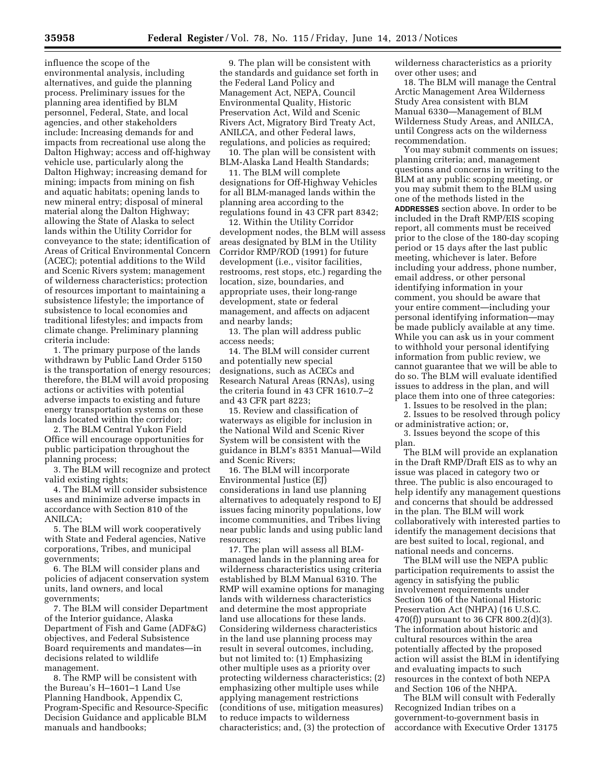influence the scope of the environmental analysis, including alternatives, and guide the planning process. Preliminary issues for the planning area identified by BLM personnel, Federal, State, and local agencies, and other stakeholders include: Increasing demands for and impacts from recreational use along the Dalton Highway; access and off-highway vehicle use, particularly along the Dalton Highway; increasing demand for mining; impacts from mining on fish and aquatic habitats; opening lands to new mineral entry; disposal of mineral material along the Dalton Highway; allowing the State of Alaska to select lands within the Utility Corridor for conveyance to the state; identification of Areas of Critical Environmental Concern (ACEC); potential additions to the Wild and Scenic Rivers system; management of wilderness characteristics; protection of resources important to maintaining a subsistence lifestyle; the importance of subsistence to local economies and traditional lifestyles; and impacts from climate change. Preliminary planning criteria include:

1. The primary purpose of the lands withdrawn by Public Land Order 5150 is the transportation of energy resources; therefore, the BLM will avoid proposing actions or activities with potential adverse impacts to existing and future energy transportation systems on these lands located within the corridor;

2. The BLM Central Yukon Field Office will encourage opportunities for public participation throughout the planning process;

3. The BLM will recognize and protect valid existing rights;

4. The BLM will consider subsistence uses and minimize adverse impacts in accordance with Section 810 of the ANILCA;

5. The BLM will work cooperatively with State and Federal agencies, Native corporations, Tribes, and municipal governments;

6. The BLM will consider plans and policies of adjacent conservation system units, land owners, and local governments;

7. The BLM will consider Department of the Interior guidance, Alaska Department of Fish and Game (ADF&G) objectives, and Federal Subsistence Board requirements and mandates—in decisions related to wildlife management.

8. The RMP will be consistent with the Bureau's H–1601–1 Land Use Planning Handbook, Appendix C, Program-Specific and Resource-Specific Decision Guidance and applicable BLM manuals and handbooks;

9. The plan will be consistent with the standards and guidance set forth in the Federal Land Policy and Management Act, NEPA, Council Environmental Quality, Historic Preservation Act, Wild and Scenic Rivers Act, Migratory Bird Treaty Act, ANILCA, and other Federal laws, regulations, and policies as required;

10. The plan will be consistent with BLM-Alaska Land Health Standards;

11. The BLM will complete designations for Off-Highway Vehicles for all BLM-managed lands within the planning area according to the regulations found in 43 CFR part 8342;

12. Within the Utility Corridor development nodes, the BLM will assess areas designated by BLM in the Utility Corridor RMP/ROD (1991) for future development (i.e., visitor facilities, restrooms, rest stops, etc.) regarding the location, size, boundaries, and appropriate uses, their long-range development, state or federal management, and affects on adjacent and nearby lands;

13. The plan will address public access needs;

14. The BLM will consider current and potentially new special designations, such as ACECs and Research Natural Areas (RNAs), using the criteria found in 43 CFR 1610.7–2 and 43 CFR part 8223;

15. Review and classification of waterways as eligible for inclusion in the National Wild and Scenic River System will be consistent with the guidance in BLM's 8351 Manual—Wild and Scenic Rivers;

16. The BLM will incorporate Environmental Justice (EJ) considerations in land use planning alternatives to adequately respond to EJ issues facing minority populations, low income communities, and Tribes living near public lands and using public land resources;

17. The plan will assess all BLMmanaged lands in the planning area for wilderness characteristics using criteria established by BLM Manual 6310. The RMP will examine options for managing lands with wilderness characteristics and determine the most appropriate land use allocations for these lands. Considering wilderness characteristics in the land use planning process may result in several outcomes, including, but not limited to: (1) Emphasizing other multiple uses as a priority over protecting wilderness characteristics; (2) emphasizing other multiple uses while applying management restrictions (conditions of use, mitigation measures) to reduce impacts to wilderness characteristics; and, (3) the protection of wilderness characteristics as a priority over other uses; and

18. The BLM will manage the Central Arctic Management Area Wilderness Study Area consistent with BLM Manual 6330—Management of BLM Wilderness Study Areas, and ANILCA, until Congress acts on the wilderness recommendation.

You may submit comments on issues; planning criteria; and, management questions and concerns in writing to the BLM at any public scoping meeting, or you may submit them to the BLM using one of the methods listed in the **ADDRESSES** section above. In order to be included in the Draft RMP/EIS scoping report, all comments must be received prior to the close of the 180-day scoping period or 15 days after the last public meeting, whichever is later. Before including your address, phone number, email address, or other personal identifying information in your comment, you should be aware that your entire comment—including your personal identifying information—may be made publicly available at any time. While you can ask us in your comment to withhold your personal identifying information from public review, we cannot guarantee that we will be able to do so. The BLM will evaluate identified issues to address in the plan, and will place them into one of three categories:

1. Issues to be resolved in the plan; 2. Issues to be resolved through policy or administrative action; or,

3. Issues beyond the scope of this plan.

The BLM will provide an explanation in the Draft RMP/Draft EIS as to why an issue was placed in category two or three. The public is also encouraged to help identify any management questions and concerns that should be addressed in the plan. The BLM will work collaboratively with interested parties to identify the management decisions that are best suited to local, regional, and national needs and concerns.

The BLM will use the NEPA public participation requirements to assist the agency in satisfying the public involvement requirements under Section 106 of the National Historic Preservation Act (NHPA) (16 U.S.C. 470(f)) pursuant to 36 CFR 800.2(d)(3). The information about historic and cultural resources within the area potentially affected by the proposed action will assist the BLM in identifying and evaluating impacts to such resources in the context of both NEPA and Section 106 of the NHPA.

The BLM will consult with Federally Recognized Indian tribes on a government-to-government basis in accordance with Executive Order 13175